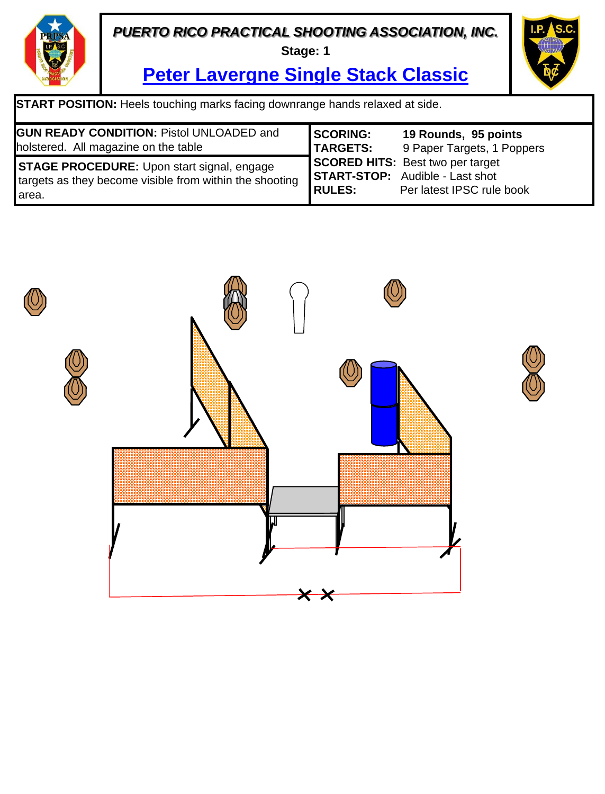**Stage: 1**



**Peter Lavergne Single Stack Classic**

| <b>GUN READY CONDITION: Pistol UNLOADED and</b>                                                                         | <b>SCORING:</b> | 19 Rounds, 95 points                                                                                           |
|-------------------------------------------------------------------------------------------------------------------------|-----------------|----------------------------------------------------------------------------------------------------------------|
| holstered. All magazine on the table                                                                                    | <b>TARGETS:</b> | 9 Paper Targets, 1 Poppers                                                                                     |
| <b>STAGE PROCEDURE:</b> Upon start signal, engage<br>targets as they become visible from within the shooting<br>l area. | <b>RULES:</b>   | <b>SCORED HITS:</b> Best two per target<br><b>START-STOP:</b> Audible - Last shot<br>Per latest IPSC rule book |

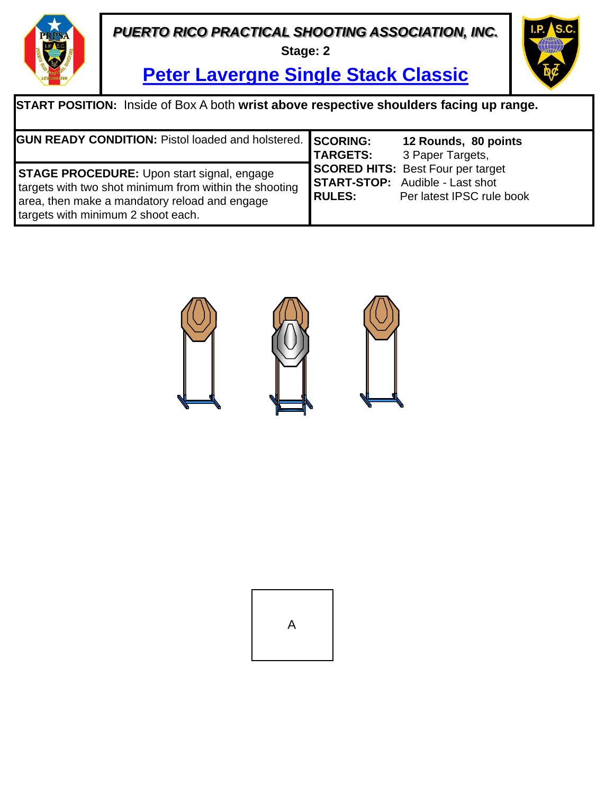**Stage: 2**



**Peter Lavergne Single Stack Classic**

| <b>START POSITION:</b> Inside of Box A both wrist above respective shoulders facing up range.                                                                                                      |                                    |                                                                                                                 |  |  |
|----------------------------------------------------------------------------------------------------------------------------------------------------------------------------------------------------|------------------------------------|-----------------------------------------------------------------------------------------------------------------|--|--|
| <b>GUN READY CONDITION: Pistol loaded and holstered.</b>                                                                                                                                           | <b>SCORING:</b><br><b>TARGETS:</b> | 12 Rounds, 80 points<br>3 Paper Targets,                                                                        |  |  |
| <b>STAGE PROCEDURE:</b> Upon start signal, engage<br>targets with two shot minimum from within the shooting<br>area, then make a mandatory reload and engage<br>targets with minimum 2 shoot each. | <b>RULES:</b>                      | <b>SCORED HITS: Best Four per target</b><br><b>START-STOP:</b> Audible - Last shot<br>Per latest IPSC rule book |  |  |



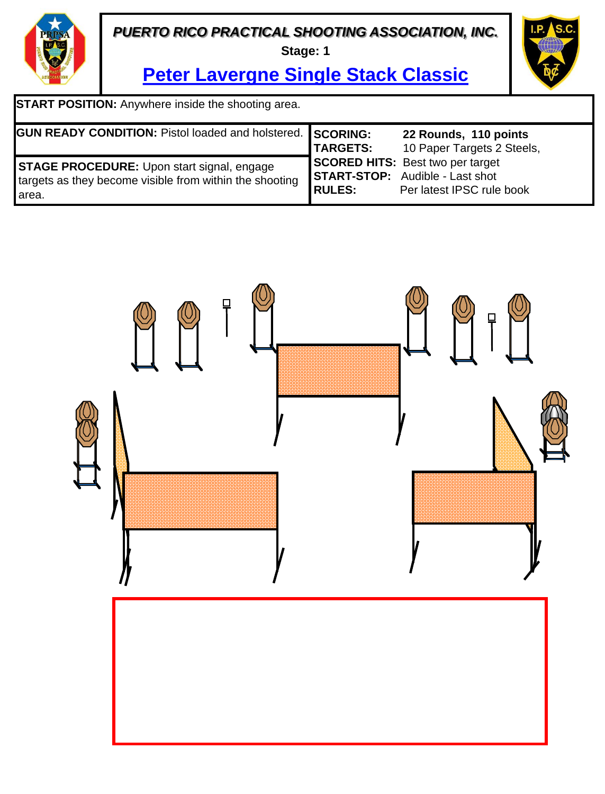**Stage: 1**



**Peter Lavergne Single Stack Classic**

**START POSITION:** Anywhere inside the shooting area.

| <b>GUN READY CONDITION: Pistol loaded and holstered. SCORING:</b>                                                       | <b>TARGETS:</b> | 22 Rounds, 110 points<br>10 Paper Targets 2 Steels,                                                            |
|-------------------------------------------------------------------------------------------------------------------------|-----------------|----------------------------------------------------------------------------------------------------------------|
| <b>STAGE PROCEDURE:</b> Upon start signal, engage<br>targets as they become visible from within the shooting<br>l area. | <b>RULES:</b>   | <b>SCORED HITS:</b> Best two per target<br><b>START-STOP:</b> Audible - Last shot<br>Per latest IPSC rule book |